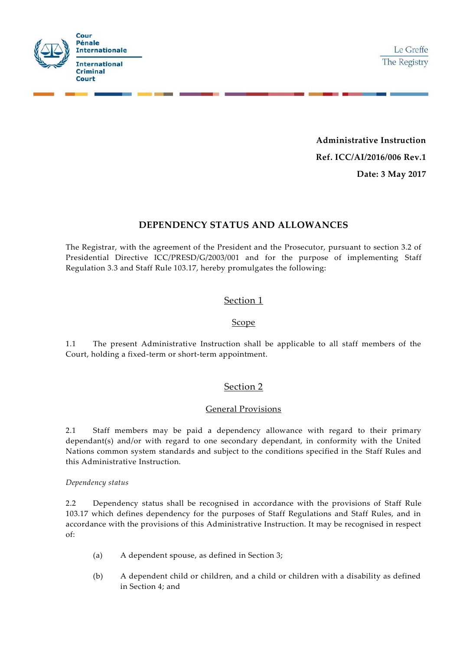

**Administrative Instruction Ref. ICC/AI/2016/006 Rev.1 Date: 3 May 2017**

# **DEPENDENCY STATUS AND ALLOWANCES**

The Registrar, with the agreement of the President and the Prosecutor, pursuant to section 3.2 of Presidential Directive ICC/PRESD/G/2003/001 and for the purpose of implementing Staff Regulation 3.3 and Staff Rule 103.17, hereby promulgates the following:

## Section 1

#### Scope

1.1 The present Administrative Instruction shall be applicable to all staff members of the Court, holding a fixed-term or short-term appointment.

# Section 2

### General Provisions

2.1 Staff members may be paid a dependency allowance with regard to their primary dependant(s) and/or with regard to one secondary dependant, in conformity with the United Nations common system standards and subject to the conditions specified in the Staff Rules and this Administrative Instruction.

#### *Dependency status*

2.2 Dependency status shall be recognised in accordance with the provisions of Staff Rule 103.17 which defines dependency for the purposes of Staff Regulations and Staff Rules, and in accordance with the provisions of this Administrative Instruction. It may be recognised in respect of:

- (a) A dependent spouse, as defined in Section 3;
- (b) A dependent child or children, and a child or children with a disability as defined in Section 4; and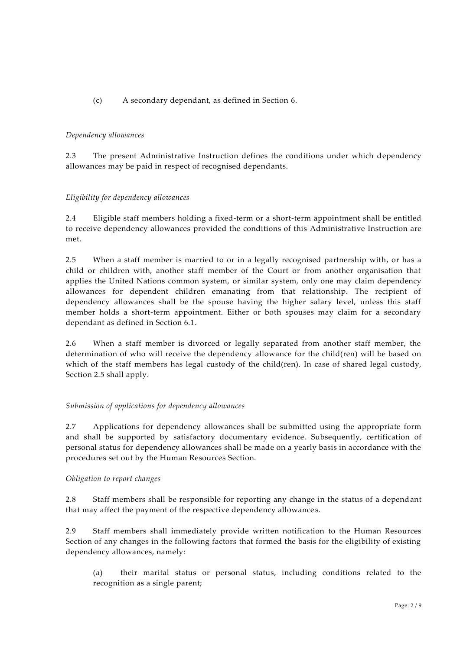### (c) A secondary dependant, as defined in Section 6.

#### *Dependency allowances*

2.3 The present Administrative Instruction defines the conditions under which dependency allowances may be paid in respect of recognised dependants.

#### *Eligibility for dependency allowances*

2.4 Eligible staff members holding a fixed-term or a short-term appointment shall be entitled to receive dependency allowances provided the conditions of this Administrative Instruction are met.

2.5 When a staff member is married to or in a legally recognised partnership with, or has a child or children with, another staff member of the Court or from another organisation that applies the United Nations common system, or similar system, only one may claim dependency allowances for dependent children emanating from that relationship. The recipient of dependency allowances shall be the spouse having the higher salary level, unless this staff member holds a short-term appointment. Either or both spouses may claim for a secondary dependant as defined in Section 6.1.

2.6 When a staff member is divorced or legally separated from another staff member, the determination of who will receive the dependency allowance for the child(ren) will be based on which of the staff members has legal custody of the child(ren). In case of shared legal custody, Section 2.5 shall apply.

#### *Submission of applications for dependency allowances*

2.7 Applications for dependency allowances shall be submitted using the appropriate form and shall be supported by satisfactory documentary evidence. Subsequently, certification of personal status for dependency allowances shall be made on a yearly basis in accordance with the procedures set out by the Human Resources Section.

#### *Obligation to report changes*

2.8 Staff members shall be responsible for reporting any change in the status of a dependant that may affect the payment of the respective dependency allowances.

2.9 Staff members shall immediately provide written notification to the Human Resources Section of any changes in the following factors that formed the basis for the eligibility of existing dependency allowances, namely:

(a) their marital status or personal status, including conditions related to the recognition as a single parent;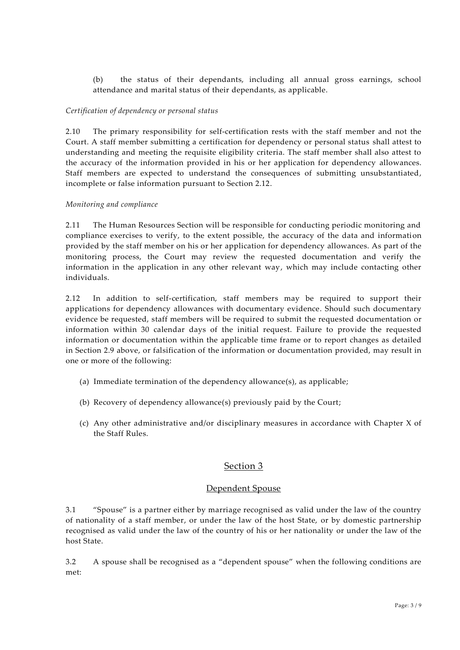(b) the status of their dependants, including all annual gross earnings, school attendance and marital status of their dependants, as applicable.

#### *Certification of dependency or personal status*

2.10 The primary responsibility for self-certification rests with the staff member and not the Court. A staff member submitting a certification for dependency or personal status shall attest to understanding and meeting the requisite eligibility criteria. The staff member shall also attest to the accuracy of the information provided in his or her application for dependency allowances. Staff members are expected to understand the consequences of submitting unsubstantiated, incomplete or false information pursuant to Section 2.12.

#### *Monitoring and compliance*

2.11 The Human Resources Section will be responsible for conducting periodic monitoring and compliance exercises to verify, to the extent possible, the accuracy of the data and information provided by the staff member on his or her application for dependency allowances. As part of the monitoring process, the Court may review the requested documentation and verify the information in the application in any other relevant way, which may include contacting other individuals.

2.12 In addition to self-certification, staff members may be required to support their applications for dependency allowances with documentary evidence. Should such documentary evidence be requested, staff members will be required to submit the requested documentation or information within 30 calendar days of the initial request. Failure to provide the requested information or documentation within the applicable time frame or to report changes as detailed in Section 2.9 above, or falsification of the information or documentation provided, may result in one or more of the following:

- (a) Immediate termination of the dependency allowance(s), as applicable;
- (b) Recovery of dependency allowance(s) previously paid by the Court;
- (c) Any other administrative and/or disciplinary measures in accordance with Chapter X of the Staff Rules.

# Section 3

#### Dependent Spouse

3.1 "Spouse" is a partner either by marriage recognised as valid under the law of the country of nationality of a staff member, or under the law of the host State, or by domestic partnership recognised as valid under the law of the country of his or her nationality or under the law of the host State.

3.2 A spouse shall be recognised as a "dependent spouse" when the following conditions are met: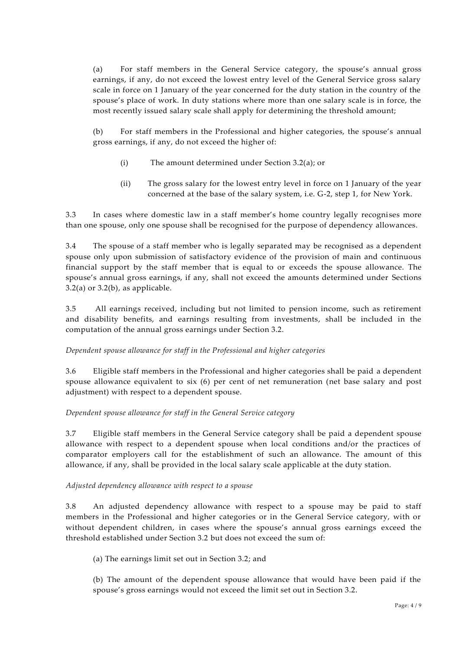(a) For staff members in the General Service category, the spouse's annual gross earnings, if any, do not exceed the lowest entry level of the General Service gross salary scale in force on 1 January of the year concerned for the duty station in the country of the spouse's place of work. In duty stations where more than one salary scale is in force, the most recently issued salary scale shall apply for determining the threshold amount;

(b) For staff members in the Professional and higher categories, the spouse's annual gross earnings, if any, do not exceed the higher of:

- (i) The amount determined under Section 3.2(a); or
- (ii) The gross salary for the lowest entry level in force on 1 January of the year concerned at the base of the salary system, i.e. G-2, step 1, for New York.

3.3 In cases where domestic law in a staff member's home country legally recognises more than one spouse, only one spouse shall be recognised for the purpose of dependency allowances.

3.4 The spouse of a staff member who is legally separated may be recognised as a dependent spouse only upon submission of satisfactory evidence of the provision of main and continuous financial support by the staff member that is equal to or exceeds the spouse allowance. The spouse's annual gross earnings, if any, shall not exceed the amounts determined under Sections  $3.2(a)$  or  $3.2(b)$ , as applicable.

3.5 All earnings received, including but not limited to pension income, such as retirement and disability benefits, and earnings resulting from investments, shall be included in the computation of the annual gross earnings under Section 3.2.

### *Dependent spouse allowance for staff in the Professional and higher categories*

3.6 Eligible staff members in the Professional and higher categories shall be paid a dependent spouse allowance equivalent to six (6) per cent of net remuneration (net base salary and post adjustment) with respect to a dependent spouse.

### *Dependent spouse allowance for staff in the General Service category*

3.7 Eligible staff members in the General Service category shall be paid a dependent spouse allowance with respect to a dependent spouse when local conditions and/or the practices of comparator employers call for the establishment of such an allowance. The amount of this allowance, if any, shall be provided in the local salary scale applicable at the duty station.

### *Adjusted dependency allowance with respect to a spouse*

3.8 An adjusted dependency allowance with respect to a spouse may be paid to staff members in the Professional and higher categories or in the General Service category, with or without dependent children, in cases where the spouse's annual gross earnings exceed the threshold established under Section 3.2 but does not exceed the sum of:

(a) The earnings limit set out in Section 3.2; and

(b) The amount of the dependent spouse allowance that would have been paid if the spouse's gross earnings would not exceed the limit set out in Section 3.2.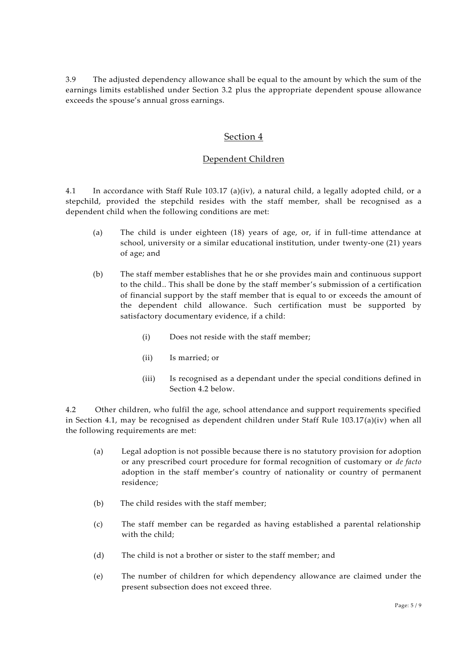3.9 The adjusted dependency allowance shall be equal to the amount by which the sum of the earnings limits established under Section 3.2 plus the appropriate dependent spouse allowance exceeds the spouse's annual gross earnings.

## Section 4

### Dependent Children

4.1 In accordance with Staff Rule 103.17 (a)(iv), a natural child, a legally adopted child, or a stepchild, provided the stepchild resides with the staff member, shall be recognised as a dependent child when the following conditions are met:

- (a) The child is under eighteen (18) years of age, or, if in full-time attendance at school, university or a similar educational institution, under twenty-one (21) years of age; and
- (b) The staff member establishes that he or she provides main and continuous support to the child.. This shall be done by the staff member's submission of a certification of financial support by the staff member that is equal to or exceeds the amount of the dependent child allowance. Such certification must be supported by satisfactory documentary evidence, if a child:
	- (i) Does not reside with the staff member;
	- (ii) Is married; or
	- (iii) Is recognised as a dependant under the special conditions defined in Section 4.2 below.

4.2 Other children, who fulfil the age, school attendance and support requirements specified in Section 4.1, may be recognised as dependent children under Staff Rule 103.17(a)(iv) when all the following requirements are met:

- (a) Legal adoption is not possible because there is no statutory provision for adoption or any prescribed court procedure for formal recognition of customary or *de facto* adoption in the staff member's country of nationality or country of permanent residence;
- (b) The child resides with the staff member;
- (c) The staff member can be regarded as having established a parental relationship with the child;
- (d) The child is not a brother or sister to the staff member; and
- (e) The number of children for which dependency allowance are claimed under the present subsection does not exceed three.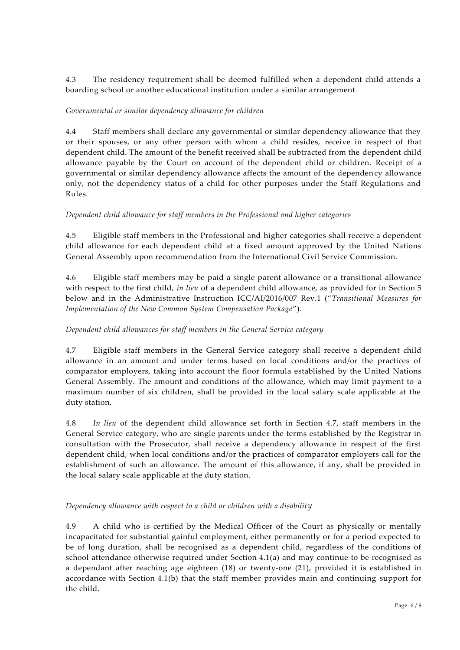4.3 The residency requirement shall be deemed fulfilled when a dependent child attends a boarding school or another educational institution under a similar arrangement.

#### *Governmental or similar dependency allowance for children*

4.4 Staff members shall declare any governmental or similar dependency allowance that they or their spouses, or any other person with whom a child resides, receive in respect of that dependent child. The amount of the benefit received shall be subtracted from the dependent child allowance payable by the Court on account of the dependent child or children. Receipt of a governmental or similar dependency allowance affects the amount of the dependency allowance only, not the dependency status of a child for other purposes under the Staff Regulations and Rules.

#### *Dependent child allowance for staff members in the Professional and higher categories*

4.5 Eligible staff members in the Professional and higher categories shall receive a dependent child allowance for each dependent child at a fixed amount approved by the United Nations General Assembly upon recommendation from the International Civil Service Commission.

4.6 Eligible staff members may be paid a single parent allowance or a transitional allowance with respect to the first child, *in lieu* of a dependent child allowance, as provided for in Section 5 below and in the Administrative Instruction ICC/AI/2016/007 Rev.1 ("*Transitional Measures for Implementation of the New Common System Compensation Package*").

### *Dependent child allowances for staff members in the General Service category*

4.7 Eligible staff members in the General Service category shall receive a dependent child allowance in an amount and under terms based on local conditions and/or the practices of comparator employers, taking into account the floor formula established by the United Nations General Assembly. The amount and conditions of the allowance, which may limit payment to a maximum number of six children, shall be provided in the local salary scale applicable at the duty station.

4.8 *In lieu* of the dependent child allowance set forth in Section 4.7, staff members in the General Service category, who are single parents under the terms established by the Registrar in consultation with the Prosecutor, shall receive a dependency allowance in respect of the first dependent child, when local conditions and/or the practices of comparator employers call for the establishment of such an allowance. The amount of this allowance, if any, shall be provided in the local salary scale applicable at the duty station.

#### *Dependency allowance with respect to a child or children with a disability*

4.9 A child who is certified by the Medical Officer of the Court as physically or mentally incapacitated for substantial gainful employment, either permanently or for a period expected to be of long duration, shall be recognised as a dependent child, regardless of the conditions of school attendance otherwise required under Section 4.1(a) and may continue to be recognised as a dependant after reaching age eighteen (18) or twenty-one (21), provided it is established in accordance with Section 4.1(b) that the staff member provides main and continuing support for the child.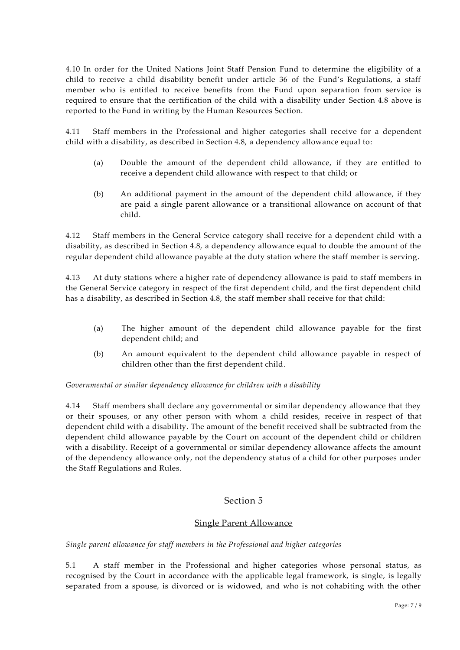4.10 In order for the United Nations Joint Staff Pension Fund to determine the eligibility of a child to receive a child disability benefit under article 36 of the Fund's Regulations, a staff member who is entitled to receive benefits from the Fund upon separation from service is required to ensure that the certification of the child with a disability under Section 4.8 above is reported to the Fund in writing by the Human Resources Section.

4.11 Staff members in the Professional and higher categories shall receive for a dependent child with a disability, as described in Section 4.8, a dependency allowance equal to:

- (a) Double the amount of the dependent child allowance, if they are entitled to receive a dependent child allowance with respect to that child; or
- (b) An additional payment in the amount of the dependent child allowance, if they are paid a single parent allowance or a transitional allowance on account of that child.

4.12 Staff members in the General Service category shall receive for a dependent child with a disability, as described in Section 4.8, a dependency allowance equal to double the amount of the regular dependent child allowance payable at the duty station where the staff member is serving.

4.13 At duty stations where a higher rate of dependency allowance is paid to staff members in the General Service category in respect of the first dependent child, and the first dependent child has a disability, as described in Section 4.8, the staff member shall receive for that child:

- (a) The higher amount of the dependent child allowance payable for the first dependent child; and
- (b) An amount equivalent to the dependent child allowance payable in respect of children other than the first dependent child.

*Governmental or similar dependency allowance for children with a disability*

4.14 Staff members shall declare any governmental or similar dependency allowance that they or their spouses, or any other person with whom a child resides, receive in respect of that dependent child with a disability. The amount of the benefit received shall be subtracted from the dependent child allowance payable by the Court on account of the dependent child or children with a disability. Receipt of a governmental or similar dependency allowance affects the amount of the dependency allowance only, not the dependency status of a child for other purposes under the Staff Regulations and Rules.

# Section 5

### Single Parent Allowance

*Single parent allowance for staff members in the Professional and higher categories*

5.1 A staff member in the Professional and higher categories whose personal status, as recognised by the Court in accordance with the applicable legal framework, is single, is legally separated from a spouse, is divorced or is widowed, and who is not cohabiting with the other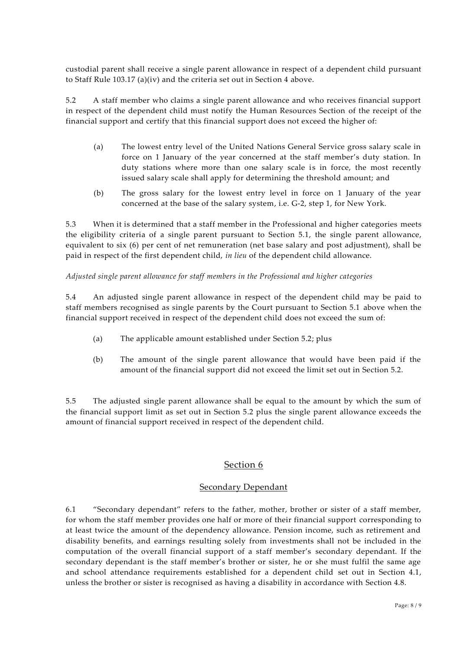custodial parent shall receive a single parent allowance in respect of a dependent child pursuant to Staff Rule 103.17 (a)(iv) and the criteria set out in Section 4 above.

5.2 A staff member who claims a single parent allowance and who receives financial support in respect of the dependent child must notify the Human Resources Section of the receipt of the financial support and certify that this financial support does not exceed the higher of:

- (a) The lowest entry level of the United Nations General Service gross salary scale in force on 1 January of the year concerned at the staff member's duty station. In duty stations where more than one salary scale is in force, the most recently issued salary scale shall apply for determining the threshold amount; and
- (b) The gross salary for the lowest entry level in force on 1 January of the year concerned at the base of the salary system, i.e. G-2, step 1, for New York.

5.3 When it is determined that a staff member in the Professional and higher categories meets the eligibility criteria of a single parent pursuant to Section 5.1, the single parent allowance, equivalent to six (6) per cent of net remuneration (net base salary and post adjustment), shall be paid in respect of the first dependent child, *in lieu* of the dependent child allowance.

*Adjusted single parent allowance for staff members in the Professional and higher categories*

5.4 An adjusted single parent allowance in respect of the dependent child may be paid to staff members recognised as single parents by the Court pursuant to Section 5.1 above when the financial support received in respect of the dependent child does not exceed the sum of:

- (a) The applicable amount established under Section 5.2; plus
- (b) The amount of the single parent allowance that would have been paid if the amount of the financial support did not exceed the limit set out in Section 5.2.

5.5 The adjusted single parent allowance shall be equal to the amount by which the sum of the financial support limit as set out in Section 5.2 plus the single parent allowance exceeds the amount of financial support received in respect of the dependent child.

# Section 6

### Secondary Dependant

6.1 "Secondary dependant" refers to the father, mother, brother or sister of a staff member, for whom the staff member provides one half or more of their financial support corresponding to at least twice the amount of the dependency allowance. Pension income, such as retirement and disability benefits, and earnings resulting solely from investments shall not be included in the computation of the overall financial support of a staff member's secondary dependant. If the secondary dependant is the staff member's brother or sister, he or she must fulfil the same age and school attendance requirements established for a dependent child set out in Section 4.1, unless the brother or sister is recognised as having a disability in accordance with Section 4.8.